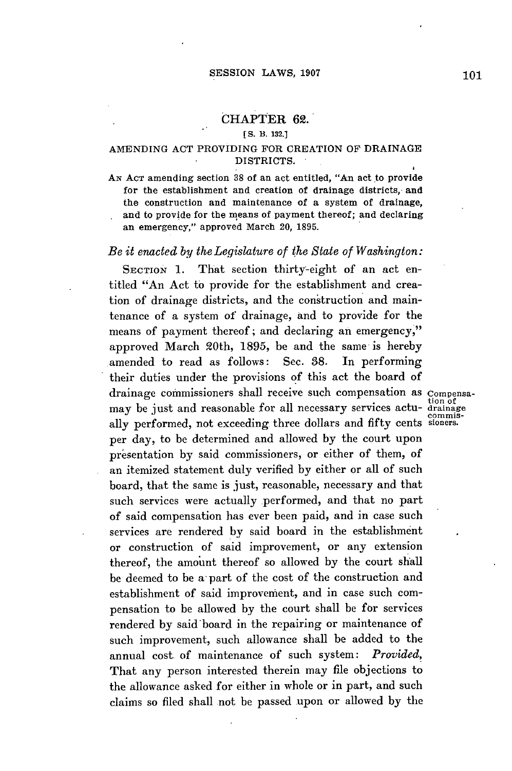# CHAPTER **62.**

## **[S. B. 132.1**

# **AMENDING ACT** PROVIDING FOR CREATION OF **DRAINAGE** DISTRICTS.

AN ACT amending section 38 of an act entitled, "An act to provide for the establishment and creation of drainage districts, and the construction and maintenance of a system of drainage, and to provide for the means of payment thereof; and declaring an emergency," approved March 20, **1895.**

#### *Be it enacted by the Legislature of the State of Washington:*

SECTION 1. That section thirty-eight of an act entitled "An Act to provide for the establishment and creation of drainage districts, and the construction and maintenance of a system of drainage, and to provide for the means of payment thereof; and declaring an emergency," approved March 20th, **1895,** be and the same is hereby amended to read as follows: Sec. **38.** In performing their duties under the provisions **of** this act the board of drainage commissioners shall receive such compensation as compensa-<br>may be just and reasonable for all necessary services actu- drainage ally performed, not exceeding three dollars and fifty cents sioners. per day, to be determined and allowed **by** the court upon presentation by said commissioners, or either of them, of an itemized statement duly verified **by** either or all of such board, that the same is just, reasonable, necessary and that such services were actually performed, and that no part of said compensation has ever been paid, and in case such services are rendered **by** said board in the establishment or construction of said improvement, or any extension thereof, the amount thereof so allowed **by** the court shall be deemed to be a- part of the cost of the construction and establishment of said improvement, and in case such compensation to be allowed **by** the court shall be for services rendered **by** said board in the repairing or maintenance of such improvement, such allowance shall **be** added to the annual cost of maintenance of such system: *Provided,* That any person interested therein may file objections to the allowance asked for either in whole or in part, and such claims so filed shall not be passed upon or allowed **by** the